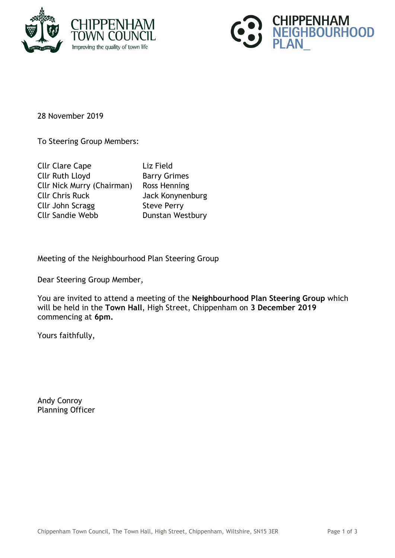



28 November 2019

To Steering Group Members:

| <b>Cllr Clare Cape</b>            | Liz Field           |
|-----------------------------------|---------------------|
| <b>Cllr Ruth Lloyd</b>            | <b>Barry Grimes</b> |
| <b>Cllr Nick Murry (Chairman)</b> | Ross Henning        |
| <b>Cllr Chris Ruck</b>            | Jack Konynenburg    |
| Cllr John Scragg                  | <b>Steve Perry</b>  |
| <b>Cllr Sandie Webb</b>           | Dunstan Westbury    |
|                                   |                     |

Meeting of the Neighbourhood Plan Steering Group

Dear Steering Group Member,

You are invited to attend a meeting of the **Neighbourhood Plan Steering Group** which will be held in the **Town Hall**, High Street, Chippenham on **3 December 2019** commencing at **6pm.**

Yours faithfully,

Andy Conroy Planning Officer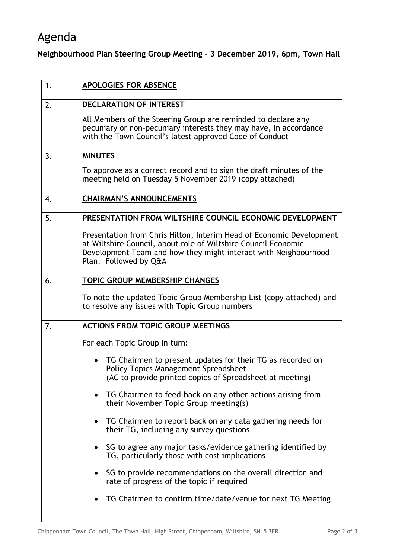## Agenda

**Neighbourhood Plan Steering Group Meeting – 3 December 2019, 6pm, Town Hall**

| 1. | APOLOGIES FOR ABSENCE                                                                                                                                                                                                              |
|----|------------------------------------------------------------------------------------------------------------------------------------------------------------------------------------------------------------------------------------|
| 2. | <b>DECLARATION OF INTEREST</b>                                                                                                                                                                                                     |
|    | All Members of the Steering Group are reminded to declare any<br>pecuniary or non-pecuniary interests they may have, in accordance<br>with the Town Council's latest approved Code of Conduct                                      |
| 3. | <b>MINUTES</b>                                                                                                                                                                                                                     |
|    | To approve as a correct record and to sign the draft minutes of the<br>meeting held on Tuesday 5 November 2019 (copy attached)                                                                                                     |
| 4. | <b>CHAIRMAN'S ANNOUNCEMENTS</b>                                                                                                                                                                                                    |
| 5. | PRESENTATION FROM WILTSHIRE COUNCIL ECONOMIC DEVELOPMENT                                                                                                                                                                           |
|    | Presentation from Chris Hilton, Interim Head of Economic Development<br>at Wiltshire Council, about role of Wiltshire Council Economic<br>Development Team and how they might interact with Neighbourhood<br>Plan. Followed by Q&A |
| 6. | <b>TOPIC GROUP MEMBERSHIP CHANGES</b>                                                                                                                                                                                              |
|    | To note the updated Topic Group Membership List (copy attached) and<br>to resolve any issues with Topic Group numbers                                                                                                              |
| 7. | <b>ACTIONS FROM TOPIC GROUP MEETINGS</b>                                                                                                                                                                                           |
|    | For each Topic Group in turn:                                                                                                                                                                                                      |
|    | TG Chairmen to present updates for their TG as recorded on<br><b>Policy Topics Management Spreadsheet</b><br>(AC to provide printed copies of Spreadsheet at meeting)                                                              |
|    | TG Chairmen to feed-back on any other actions arising from<br>their November Topic Group meeting(s)                                                                                                                                |
|    | TG Chairmen to report back on any data gathering needs for<br>$\bullet$<br>their TG, including any survey questions                                                                                                                |
|    | SG to agree any major tasks/evidence gathering identified by<br>TG, particularly those with cost implications                                                                                                                      |
|    | SG to provide recommendations on the overall direction and<br>rate of progress of the topic if required                                                                                                                            |
|    | TG Chairmen to confirm time/date/venue for next TG Meeting                                                                                                                                                                         |